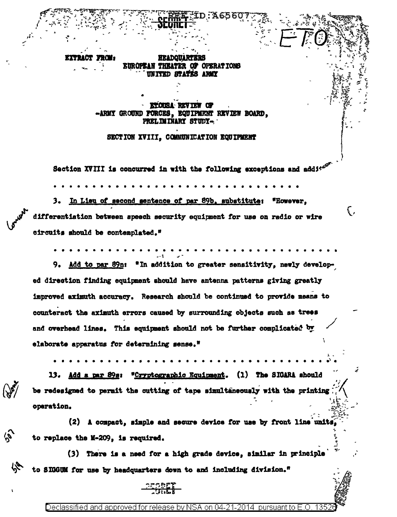**EUROPEAN THEATER** OF OPERATIONS **UNITED STATES ARMY** 

*ETOISA REVIE* -ARMY GROUND FORCES, EQUIPMENT REVIEW BOARD, PRELIMINARY STUDY-

### SECTION XVIII. COMMUNICATION EQUIPMENT

Section XVIII is concurred in with the following exceptions and addite

3. In Lieu of second sentence of par 89b, substitute: "However, differentiation between apeech security equipment for use on radio or wire circuits should be contemplated."

į,

9. Add to par 89n: "In addition to greater sensitivity, newly developed direction finding equipment should have antenna patterns giving greatly improved aximuth accuracy. Research should be continued to provide means to counteract the aximuth errors caused by surrounding objects such as trees and overhead lines. This equipment should not be further complicated by elaborate apparatus for determining sense."

13. Add a par 89s: "Cryptographic Equipment. (1) The SIGARA should be redesigned to permit the cutting of tape simultaneously with the printing operation.

(2) A compact, simple and secure device for use by front line units to replace the M-209, is required.

(3) There is a need for a high grade device, similar in principle to SIGGUM for use by headquarters down to and including division."



 $\tilde{\mathscr{V}}$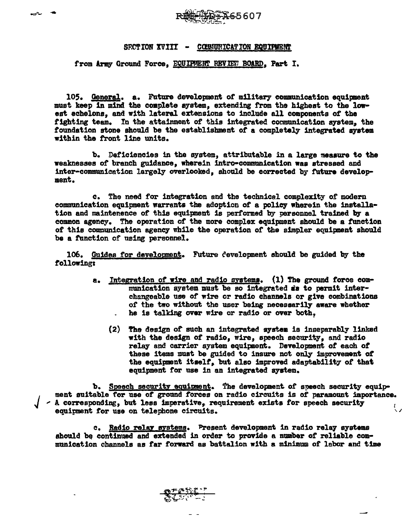

## SF.CTION XVIII - COMUNICATION EQUIPMENT

## from Army Ground Force. EQUIPMENT REVIEW BOARD. Part I.

105. General. a. Future development of military communication equipment must keep in mind the complete system, extending from the highest to the lowest echelons, and with lateral extensions to include all components of the fighting team. In the attainment of this integrated communication system, the foundation stone should be the establishment of a completely integrated system within the front line units.

b. Deticiencies in the system, attributable in a large measure to the weaknesses of branch guidance, wherein 1ntro•comnmnicat1on was stressed and inter-communication largely overlooked, should be corrected by future development.

c. The need for integration and the technical complexity of modern communication equipment warrants the adoption of a policy wherein the installation and maintenence of this equipment is performed by personnel trained by a common agency. The operation of the more complex equipment should be a function of' this communication agency while the operation or the simpler equipment should be a function of using personnel.

106. Guides for development. Future eevelopment should be guided by the following:

- a. Integration of wire and radio systems. (1) The ground force communication system must be so integrated is to permit interchangeable use of wire or radio channels or give combinations or the two without the user being necessarily aware whether he is talking over wire or radio or over both,
	- (2) The design of' such an integrated a7stea is inseparably linked with the design *ot* radio, wire, speech security, and radio relay and carrier system equipment. Development of each of these items muat be guided to insure not only improvement ot the equipnant itaelt. but also improved adaptability *ot* that equipment for use in an integrated system.

b. Speech security equipment. The development of speech security equipment suitable for use of ground forces on radio circuits is of paramount importance.<br>
- A corresponding, but less imperative, requirement exists for speech security<br>
equirement for use on telephone circuits.

c. Radio relay systems. Present development in radio relay systems should be continued and extended in order to provide a number of reliable communication channels as tar forward as battalion with a minimum or labor and time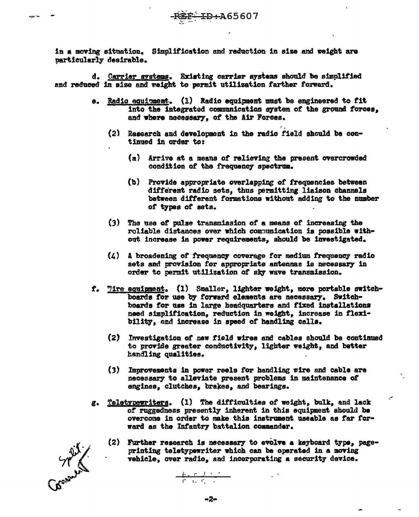in a moving situation. Simplification and reduction in size and weight are particularly desirable.

d. Carrier systems. Existing carrier systems should be simplified and reduced in size and weight to permit utilization farther forward.

- e. Radio equipment. (1) Radio equipment must be engineered to fit into the integrated communication system of the ground forces, and where necessary, of the Air Forces.
	- (2) Research and development in the radio field should be continued in order to:
		- (a) Arrive at a means of relieving the present overcrowded condition of the frequency spectrum.
		- (b) Provide appropriate overlapping of frequencies between different radio sets, thus permitting liaison channels between different formations without adding to the number of types of sets.
	- (3) The use of pulse transmission of a means of increasing the roliable distances over which communication is possible without increase in power requirements, should be investigated.
	- $(4)$  A broadening of frequency coverage for medium frequency radio sets and provision for appropriate antennas is necessary in order to permit utilization of sky wave transmission.
- f. Tire equipment. (1) Smaller, lighter weight, more portable switchboards for use by forward elements are necessary. Switchboards for use in large headquarters and fixed installations need simplification, reduction in weight, increase in flexibility, and increase in speed of handling calls.
	- (2) Investigation of new field wires and cables should be continued to provide greater conductivity, lighter weight, and better handling qualities.
	- Improvements in power reels for handling wire and cable are  $(3)$ necessary to alleviate present problems in maintenance of engines, clutches, brakes, and bearings.
- Teletypewriters. (1) The difficulties of weight, bulk, and lack g. of ruggedness presently inherent in this equipment should be overcome in order to make this instrument useable as far forward as the Infantry battalion commander.
	- (2) Further research is necessary to evolve a keyboard type, pageprinting teletypewriter which can be operated in a moving vehicle, over radio, and incorporating a security device.

**STAR**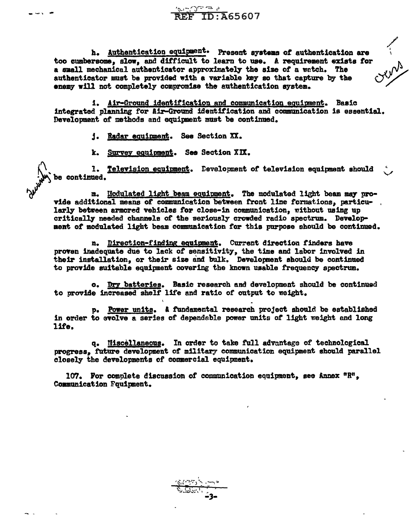h. Authentication equipment. Present systems of authentication are too cumbersome, slow, and difficult to learn to use. A requirement exists for a small mechanical authenticator approximately the size of a watch. The authenticator must be provided with a variable key so that capture by the enemy will not completely compromise the authentication system.

 $\overbrace{\mathbf{F}}^{\circledcirc}$  TD: A65607

1. Air-Ground identification and communication equipment. Basic integrated planning for Air-Ground identification and communication is essential. Development of methods and equipment must be continued.

i. Radar equipment. See Section XX.

k. Survey equipment. See Section XIX.

1. Television equipment. Development of television equipment should<br>be continued.

m. Hodulated light beam equipment. The modulated light beam may provide additional means of communication between front line formations, particularly between armored vehicles for close-in communication, without using up critically needed channels of the seriously crowded radio spectrum. Development of modulated light beam communication for this purpose should be continued.

n. Birection-finding equipment. Current direction finders have proven inadequate due to lack of sensitivity, the time and labor involved in their installation, or their size and bulk. Development should be continued to provide suitable equipment covering the known usable frequency spectrum.

o. Dry batteries. Basic research and development should be continued to provide increased shelf life and ratio of output to weight.

p. Power units. A fundamental research project should be established in order to evolve a series of dependable power units of light weight and long life.

q. Miscellaneous. In order to take full advantage of technological progress, future development of military communication equipment should parallel closely the developments of commercial equipment.

107. For complete discussion of communication equipment, see Annex  ${}^{\text{n}}\mathbb{R}^{\text{n}}$ . Communication Fouinment.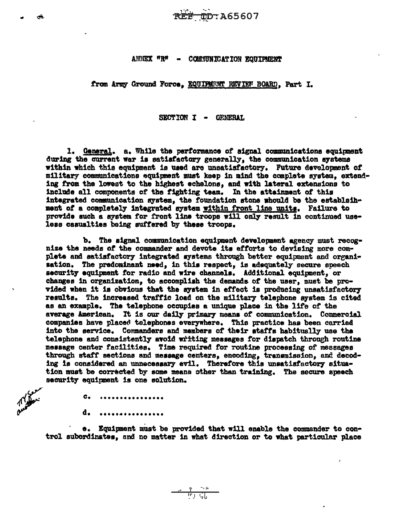#### ANNEX "R" -**COMMUNICATION EQUIPMENT**

from Army Ground Force, EQUIPMENT REVIEW BOARD, Part I.

SECTION I - GENERAL

1. General. a. While the performance of signal communications equipment during the current war is satisfactory generally, the communication systems within which this equipment is used are unsatisfactory. Future development of military communications equipment must keep in mind the complete system, extending from the lowest to the highest echelons, and with lateral extensions to include all components of the fighting team. In the attainment of this integrated communication system, the foundation stone whould be the establainment of a completely integrated system within front line units. Failure to provide such a system for front line troops will only result in continued useless casualties being suffered by these troops.

b. The signal communication equipment development agency must recognize the needs of the commander and devote its efforts to devising more complete and satisfactory integrated systems through better equipment and organisation. The predominant need, in this respect, is adequately secure speech security equipment for radio and wire channels. Additional equipment, or changes in organization, to accomplish the demands of the user, must be provided when it is obvious that the system in effect is producing unsatisfactory results. The increased traffic load on the military telephone system is cited as an example. The telephone occupies a unique place in the life of the average American. It is our daily primary means of communication. Commercial companies have placed telephones everywhere. This practice has been carried into the service. Commanders and members of their staffs habitually use the telephone and consistently avoid writing messages for dispatch through routine message center facilities. Time required for routine processing of messages through staff sections and message centers, encoding, transmission, and decoding is considered an unnecessary evil. Therefore this unsatisfactory situation must be corrected by some means other than training. The secure speech security equipment is one solution.

 $c_{\bullet}$ d. . . . . . . . . . . . . . . . . .

e. Equipment must be provided that will enable the commander to control subordinates, and no matter in what direction or to what particular place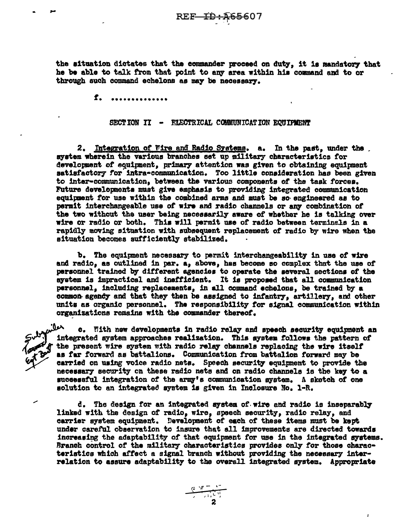the situation dictates that the commander proceed on duty, it is mandatory that he be able to talk from that point to any area within his command and to or through such command echelons as may be necessary.

> f. \*\*\*\*\*\*\*\*\*\*\*\*

### SECTION II - FLECTRICAL COMMUNICATION EQUIPMENT

2. Integration of Vire and Radio Systems. a. In the past, under the system wherein the various branches set up military characteristics for development of equipment, primary attention was given to obtaining equipment satisfactory for intra-communication. Too little consideration has been given to inter-communication, between the various components of the task forces. Future developments must give emphasis to providing integrated communication equipment for use within the combined arms and must be so engineered as to permit interchangeable use of wire and radio channels or any combination of the two without the user being necessarily aware of whether he is talking over wire or radio or both. This will permit use of radio between terminals in a rapidly moving situation with subsequent replacement of radio by wire when the situation becomes sufficiently stabilized.

b. The equipment necessary to permit interchangeability in use of wire and radio, as outlined in par. a, above, has become so complex that the use of personnel trained by different agencies to operate the several sections of the system is impractical and inefficient. It is proposed that all communication personnel, including replacements, in all command echelons, be trained by a common agency and that they then be assigned to infantry, artillery, and other units as organic personnel. The responsibility for signal communication within organizations remains with the commander thereof.

c. Fith new developments in radio relay and speech security equipment an integrated system approaches realization. This system follows the pattern of the present wire system with radio relay channels replacing the wire itself as far forward as battalions. Communication from battalion forward may be carried on using voice radio nets. Speech security equipment to provide the necessary security on these radio nets and on radio channels is the key to a successful integration of the army's communication system. A sketch of one solution to an integrated system is given in Inclosure No. 1-R.

d. The design for an integrated system of wire and radio is inseparably linked with the design of radio, wire, speech security, radio relay, and carrier system equipment. Development of each of these items must be kept under careful observation to insure that all improvements are directed towards increasing the adaptability of that equipment for use in the integrated systems. Branch control of the military characteristics provides only for those characteristics which affect a signal branch without providing the necessary interrelation to assure adaptability to the overall integrated system. Appropriate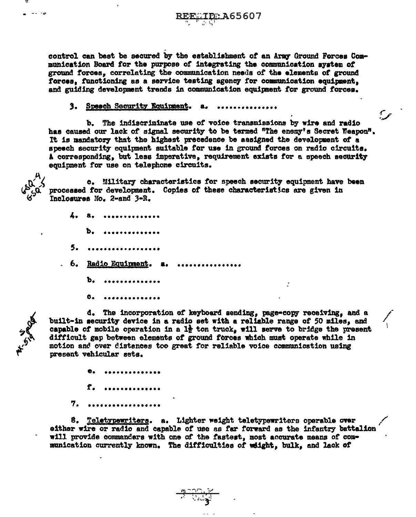

control can best be secured by the establishment of an Army Ground Forces Communication Board for the purpose of integrating the communication system of ground forces, correlating the communication needs of the elements of ground forces. functioning as a service testing agency for communication equipment. and guiding development trends in communication equipment for ground forces.

# 3. Speech Security Equipment.

b. The indiscriminate use of voice transmissions by wire and radio has caused our lack of signal security to be termed "The enemy's Secret Weapon", It is mandatory that the highest precedence be assigned the development of a speech security equipment suitable for use in ground forces on radio circuits. A corresponding, but less imperative, requirement exists for a speech security equipment for use on telephone circuits.

عرمي

c. Military characteristics for speech security equipment have been processed for development. Copies of these characteristics are given in Inclosures No. 2-and 3-R.

|    | 4. a.                             |
|----|-----------------------------------|
|    | $\mathbf{b}$ . Andersaarse partie |
|    | 5.                                |
| 6. | Radio Equipment. a.               |
|    | b.                                |
|    |                                   |

d. The incorporation of keyboard sending, page-copy receiving, and a built-in security device in a radio set with a reliable range of 50 miles, and capable of mobile operation in a  $1\frac{1}{2}$  ton truck, will serve to bridge the present difficult gap between elements of ground forces which must operate while in motion and over distances too great for reliable voice communication using present vehicular sets.

**\*\*\*\*\*\*\*\*\*\*\*** f.  $\frac{1}{2}$ 7. **\*\*\*\*\*\*\*\*\*\*\*\*\*\*** 

8. Teletypewriters. a. Lighter weight teletypewriters operable over either wire or radio and capable of use as far forward as the infantry battalion will provide commanders with one of the fastest, most accurate means of communication currently known. The difficulties of weight, bulk, and lack of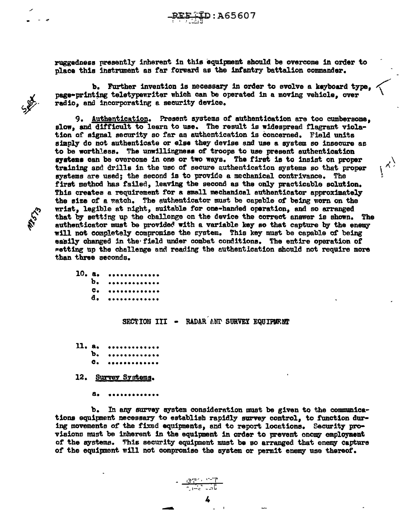ruggedness presently inherent in this equipment should be overcome in order to place this instrument as far forward as the infantry battalion commander.

b. Further invention is necessary in order to evolve a keyboard type,  $\checkmark$ radio, and incorporating a security device.

9. Authentication. Present systems *ot* authentication are too cumbersome, slow, and difficult to learn to use. The result is widespread flagrant violation of signal security so far as authentication is concerned. Field units simply do not authenticate or else they devise and use a system so insecure as to be worthless. The umrillingneee of troops to use present authentication svatens can be overcome in one or two ways. The first is to insist on proper training and drills in the use *ot* secure authentication systems so that proper systems are used; the second is to provide a mechanical contrivance. The first method has tailed, leaving the second as the only practicable solution. This creates a requirement for a amall mechanical authenticator approximately the size of a watch. The authenticator must be capable of being worn on the wrist, legible at night, suitable for one-handed operation, and so arranged that by setting up the challenge on the device the correct answer is shown. The authenticator must be provided with a variable key so that capture by the enemy will not completely compromise the system. This key must be capable of being easily changed in the field under combat conditions. The entire operation of ~etting up the challenge and reading the authentication should not require more than three seconds.

\ \ I(, • r

10. a. b. c. a. • •••••••••••• • •••••••••••• • •••••••••••• • ••••••••••••

SA

SECTION III - RADAR AND SURVEY EQUIPUE.NT

- 11. a. b. c. ••••••••••••• • •••••••••••• • ••••••••••••
- 12. Survey Systems.
	- a. ~··••••••••••

b. In any survey system consideration must be given to the communications equipnent necessary to establish rapidly survey control, to function during movements of the fixed equipments, and to report locations. Security provisions must be inherent in the equipment in order to prevent enomy employment of the systems. This security equipment must be so arranged that enemy capture or the equipment will not compromise the system or perm1t enemy use thereof.

-

4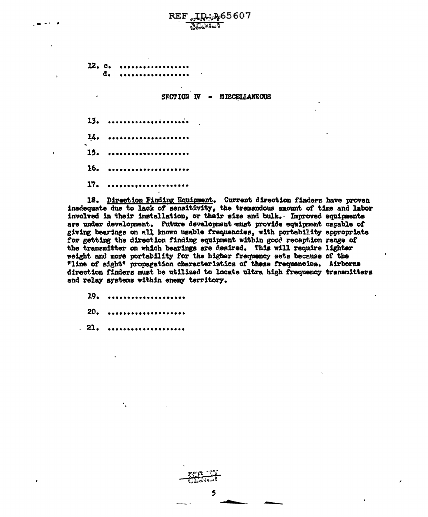$12. c.$ đ.

> SECTION IV **MISCELLANEOUS**

 $13.$ وأوجع وجحت  $14.$ 15. 16. 17.

18. Direction Finding Equipment. Current direction finders have proven inadequate due to lack of sensitivity, the tremendous amount of time and labor involved in their installation, or their size and bulk. Improved equipments are under development. Future development must provide equipment capable of giving bearings on all known usable frequencies, with portability appropriate for getting the direction finding equipment within good reception range of the transmitter on which bearings are desired. This will require lighter weight and more portability for the higher frequency sets because of the "line of sight" propagation characteristics of these frequencies. Airborne direction finders must be utilized to locate ultra high frequency transmitters and relay systems within enemy territory.

- 19.
- $20 -$
- $22.$

٠.

5